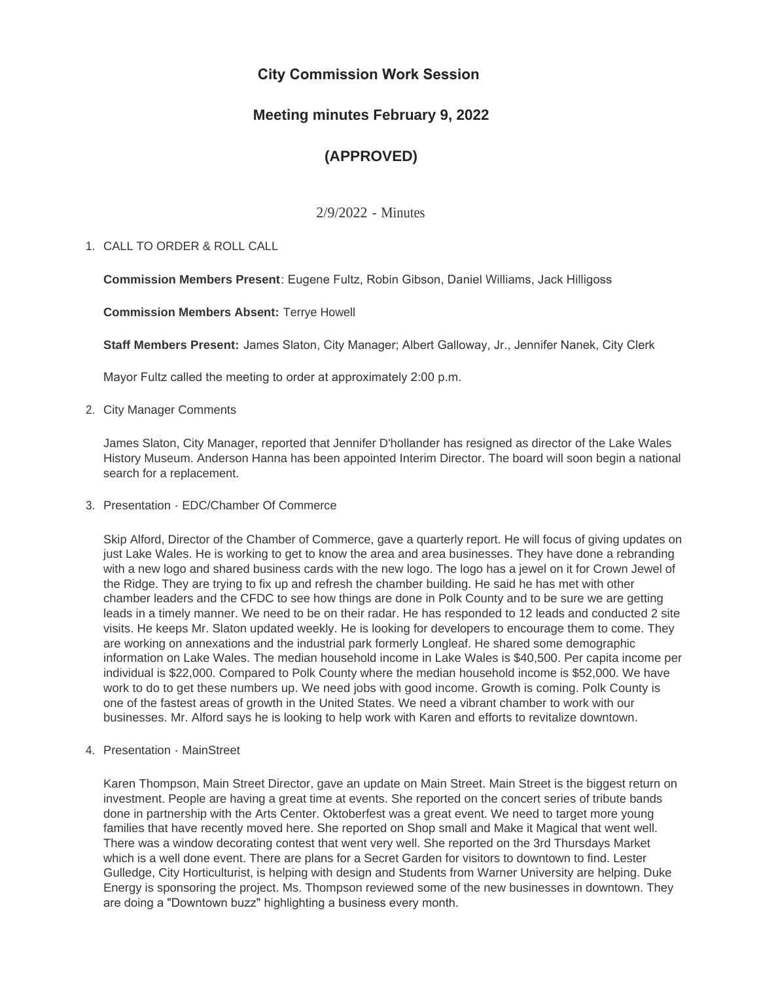# **City Commission Work Session**

# **Meeting minutes February 9, 2022**

# **(APPROVED)**

2/9/2022 - Minutes

# CALL TO ORDER & ROLL CALL 1.

**Commission Members Present**: Eugene Fultz, Robin Gibson, Daniel Williams, Jack Hilligoss

**Commission Members Absent:** Terrye Howell

**Staff Members Present:** James Slaton, City Manager; Albert Galloway, Jr., Jennifer Nanek, City Clerk

Mayor Fultz called the meeting to order at approximately 2:00 p.m.

2. City Manager Comments

James Slaton, City Manager, reported that Jennifer D'hollander has resigned as director of the Lake Wales History Museum. Anderson Hanna has been appointed Interim Director. The board will soon begin a national search for a replacement.

3. Presentation - EDC/Chamber Of Commerce

Skip Alford, Director of the Chamber of Commerce, gave a quarterly report. He will focus of giving updates on just Lake Wales. He is working to get to know the area and area businesses. They have done a rebranding with a new logo and shared business cards with the new logo. The logo has a jewel on it for Crown Jewel of the Ridge. They are trying to fix up and refresh the chamber building. He said he has met with other chamber leaders and the CFDC to see how things are done in Polk County and to be sure we are getting leads in a timely manner. We need to be on their radar. He has responded to 12 leads and conducted 2 site visits. He keeps Mr. Slaton updated weekly. He is looking for developers to encourage them to come. They are working on annexations and the industrial park formerly Longleaf. He shared some demographic information on Lake Wales. The median household income in Lake Wales is \$40,500. Per capita income per individual is \$22,000. Compared to Polk County where the median household income is \$52,000. We have work to do to get these numbers up. We need jobs with good income. Growth is coming. Polk County is one of the fastest areas of growth in the United States. We need a vibrant chamber to work with our businesses. Mr. Alford says he is looking to help work with Karen and efforts to revitalize downtown.

4. Presentation - MainStreet

Karen Thompson, Main Street Director, gave an update on Main Street. Main Street is the biggest return on investment. People are having a great time at events. She reported on the concert series of tribute bands done in partnership with the Arts Center. Oktoberfest was a great event. We need to target more young families that have recently moved here. She reported on Shop small and Make it Magical that went well. There was a window decorating contest that went very well. She reported on the 3rd Thursdays Market which is a well done event. There are plans for a Secret Garden for visitors to downtown to find. Lester Gulledge, City Horticulturist, is helping with design and Students from Warner University are helping. Duke Energy is sponsoring the project. Ms. Thompson reviewed some of the new businesses in downtown. They are doing a "Downtown buzz" highlighting a business every month.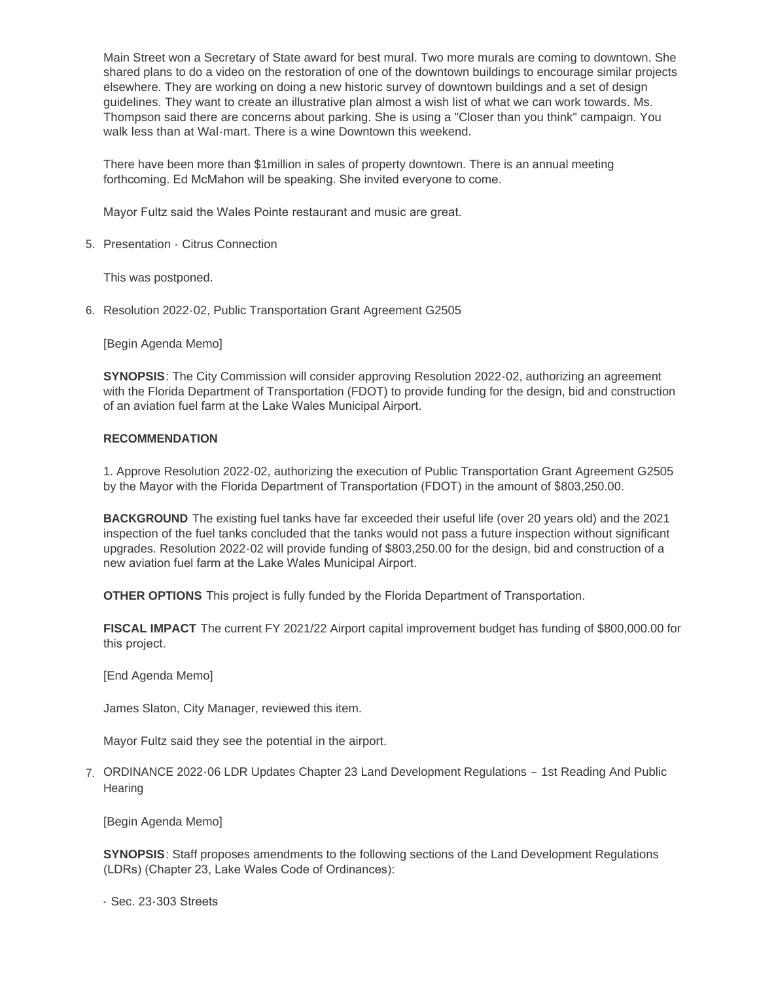Main Street won a Secretary of State award for best mural. Two more murals are coming to downtown. She shared plans to do a video on the restoration of one of the downtown buildings to encourage similar projects elsewhere. They are working on doing a new historic survey of downtown buildings and a set of design guidelines. They want to create an illustrative plan almost a wish list of what we can work towards. Ms. Thompson said there are concerns about parking. She is using a "Closer than you think" campaign. You walk less than at Wal-mart. There is a wine Downtown this weekend.

There have been more than \$1million in sales of property downtown. There is an annual meeting forthcoming. Ed McMahon will be speaking. She invited everyone to come.

Mayor Fultz said the Wales Pointe restaurant and music are great.

5. Presentation - Citrus Connection

This was postponed.

6. Resolution 2022-02, Public Transportation Grant Agreement G2505

[Begin Agenda Memo]

**SYNOPSIS**: The City Commission will consider approving Resolution 2022-02, authorizing an agreement with the Florida Department of Transportation (FDOT) to provide funding for the design, bid and construction of an aviation fuel farm at the Lake Wales Municipal Airport.

#### **RECOMMENDATION**

1. Approve Resolution 2022-02, authorizing the execution of Public Transportation Grant Agreement G2505 by the Mayor with the Florida Department of Transportation (FDOT) in the amount of \$803,250.00.

**BACKGROUND** The existing fuel tanks have far exceeded their useful life (over 20 years old) and the 2021 inspection of the fuel tanks concluded that the tanks would not pass a future inspection without significant upgrades. Resolution 2022-02 will provide funding of \$803,250.00 for the design, bid and construction of a new aviation fuel farm at the Lake Wales Municipal Airport.

**OTHER OPTIONS** This project is fully funded by the Florida Department of Transportation.

**FISCAL IMPACT** The current FY 2021/22 Airport capital improvement budget has funding of \$800,000.00 for this project.

[End Agenda Memo]

James Slaton, City Manager, reviewed this item.

Mayor Fultz said they see the potential in the airport.

7. ORDINANCE 2022-06 LDR Updates Chapter 23 Land Development Regulations - 1st Reading And Public **Hearing** 

[Begin Agenda Memo]

**SYNOPSIS**: Staff proposes amendments to the following sections of the Land Development Regulations (LDRs) (Chapter 23, Lake Wales Code of Ordinances):

- Sec. 23-303 Streets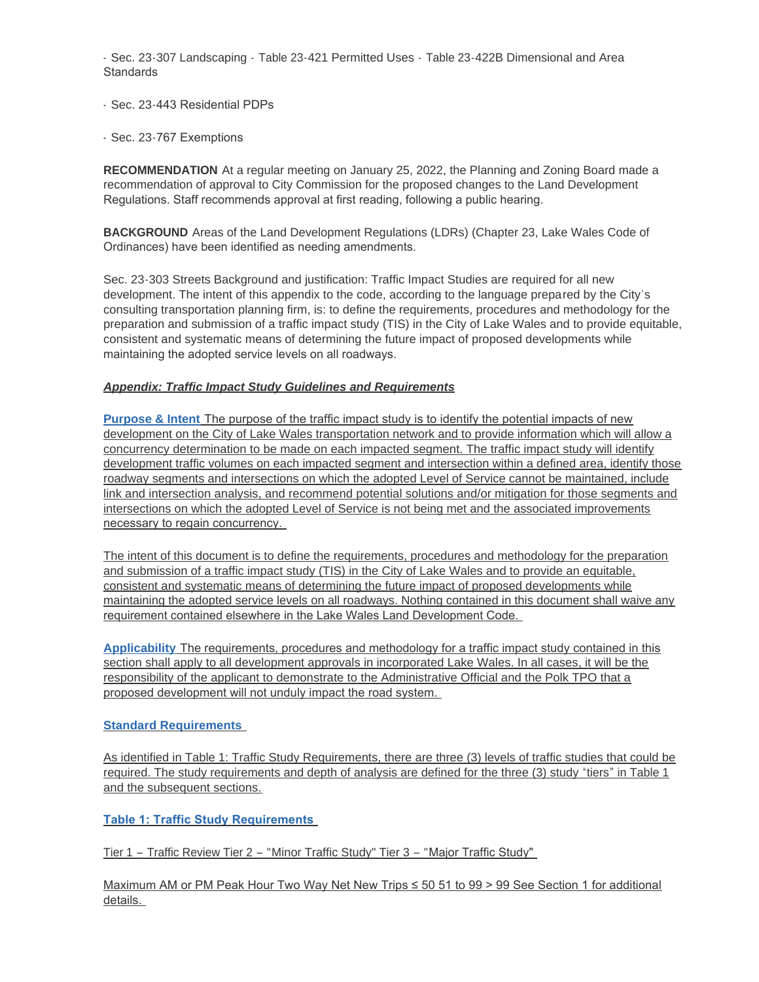- Sec. 23-307 Landscaping - Table 23-421 Permitted Uses - Table 23-422B Dimensional and Area **Standards** 

- Sec. 23-443 Residential PDPs
- Sec. 23-767 Exemptions

**RECOMMENDATION** At a regular meeting on January 25, 2022, the Planning and Zoning Board made a recommendation of approval to City Commission for the proposed changes to the Land Development Regulations. Staff recommends approval at first reading, following a public hearing.

**BACKGROUND** Areas of the Land Development Regulations (LDRs) (Chapter 23, Lake Wales Code of Ordinances) have been identified as needing amendments.

Sec. 23-303 Streets Background and justification: Traffic Impact Studies are required for all new development. The intent of this appendix to the code, according to the language prepared by the City's consulting transportation planning firm, is: to define the requirements, procedures and methodology for the preparation and submission of a traffic impact study (TIS) in the City of Lake Wales and to provide equitable, consistent and systematic means of determining the future impact of proposed developments while maintaining the adopted service levels on all roadways.

# *Appendix: Traffic Impact Study Guidelines and Requirements*

**Purpose & Intent** The purpose of the traffic impact study is to identify the potential impacts of new development on the City of Lake Wales transportation network and to provide information which will allow a concurrency determination to be made on each impacted segment. The traffic impact study will identify development traffic volumes on each impacted segment and intersection within a defined area, identify those roadway segments and intersections on which the adopted Level of Service cannot be maintained, include link and intersection analysis, and recommend potential solutions and/or mitigation for those segments and intersections on which the adopted Level of Service is not being met and the associated improvements necessary to regain concurrency.

The intent of this document is to define the requirements, procedures and methodology for the preparation and submission of a traffic impact study (TIS) in the City of Lake Wales and to provide an equitable, consistent and systematic means of determining the future impact of proposed developments while maintaining the adopted service levels on all roadways. Nothing contained in this document shall waive any requirement contained elsewhere in the Lake Wales Land Development Code.

**Applicability** The requirements, procedures and methodology for a traffic impact study contained in this section shall apply to all development approvals in incorporated Lake Wales. In all cases, it will be the responsibility of the applicant to demonstrate to the Administrative Official and the Polk TPO that a proposed development will not unduly impact the road system.

### **Standard Requirements**

As identified in Table 1: Traffic Study Requirements, there are three (3) levels of traffic studies that could be required. The study requirements and depth of analysis are defined for the three (3) study "tiers" in Table 1 and the subsequent sections.

**Table 1: Traffic Study Requirements** 

Tier 1 – Traffic Review Tier 2 – "Minor Traffic Study" Tier 3 – "Major Traffic Study"

Maximum AM or PM Peak Hour Two Way Net New Trips ≤ 50 51 to 99 > 99 See Section 1 for additional details.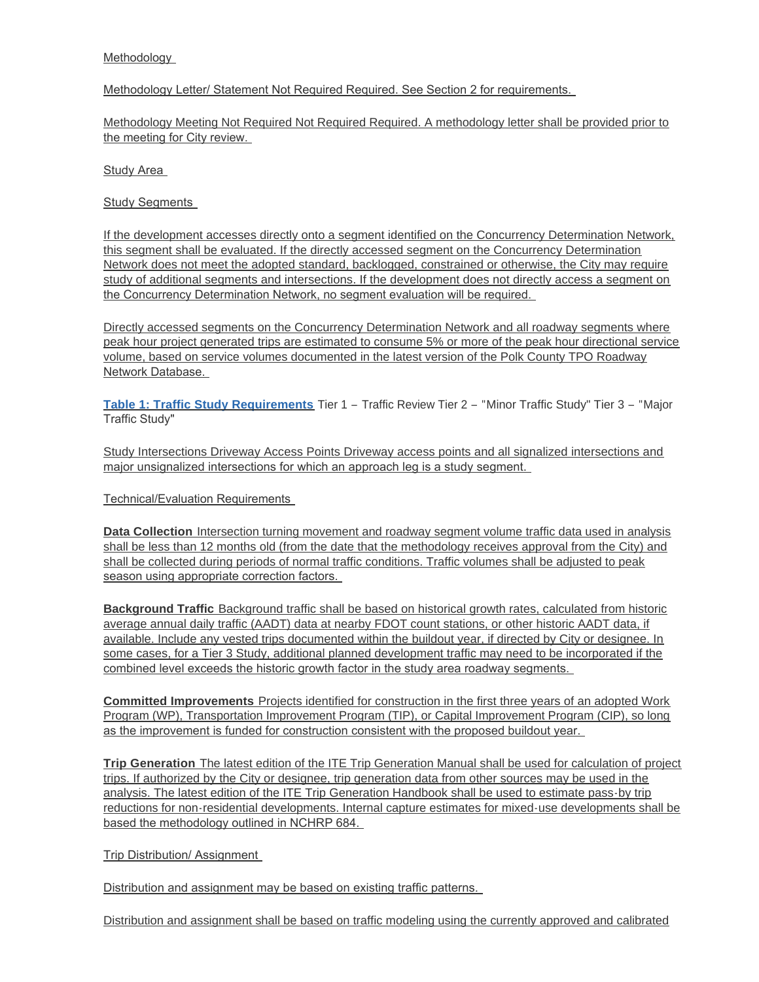## Methodology

### Methodology Letter/ Statement Not Required Required. See Section 2 for requirements.

Methodology Meeting Not Required Not Required Required. A methodology letter shall be provided prior to the meeting for City review.

Study Area

Study Segments

If the development accesses directly onto a segment identified on the Concurrency Determination Network, this segment shall be evaluated. If the directly accessed segment on the Concurrency Determination Network does not meet the adopted standard, backlogged, constrained or otherwise, the City may require study of additional segments and intersections. If the development does not directly access a segment on the Concurrency Determination Network, no segment evaluation will be required.

Directly accessed segments on the Concurrency Determination Network and all roadway segments where peak hour project generated trips are estimated to consume 5% or more of the peak hour directional service volume, based on service volumes documented in the latest version of the Polk County TPO Roadway Network Database.

**Table 1: Traffic Study Requirements** Tier 1 – Traffic Review Tier 2 – "Minor Traffic Study" Tier 3 – "Major Traffic Study"

Study Intersections Driveway Access Points Driveway access points and all signalized intersections and major unsignalized intersections for which an approach leg is a study segment.

Technical/Evaluation Requirements

**Data Collection** Intersection turning movement and roadway segment volume traffic data used in analysis shall be less than 12 months old (from the date that the methodology receives approval from the City) and shall be collected during periods of normal traffic conditions. Traffic volumes shall be adjusted to peak season using appropriate correction factors.

**Background Traffic** Background traffic shall be based on historical growth rates, calculated from historic average annual daily traffic (AADT) data at nearby FDOT count stations, or other historic AADT data, if available. Include any vested trips documented within the buildout year, if directed by City or designee. In some cases, for a Tier 3 Study, additional planned development traffic may need to be incorporated if the combined level exceeds the historic growth factor in the study area roadway segments.

**Committed Improvements** Projects identified for construction in the first three years of an adopted Work Program (WP), Transportation Improvement Program (TIP), or Capital Improvement Program (CIP), so long as the improvement is funded for construction consistent with the proposed buildout year.

**Trip Generation** The latest edition of the ITE Trip Generation Manual shall be used for calculation of project trips. If authorized by the City or designee, trip generation data from other sources may be used in the analysis. The latest edition of the ITE Trip Generation Handbook shall be used to estimate pass-by trip reductions for non-residential developments. Internal capture estimates for mixed-use developments shall be based the methodology outlined in NCHRP 684.

Trip Distribution/ Assignment

Distribution and assignment may be based on existing traffic patterns.

Distribution and assignment shall be based on traffic modeling using the currently approved and calibrated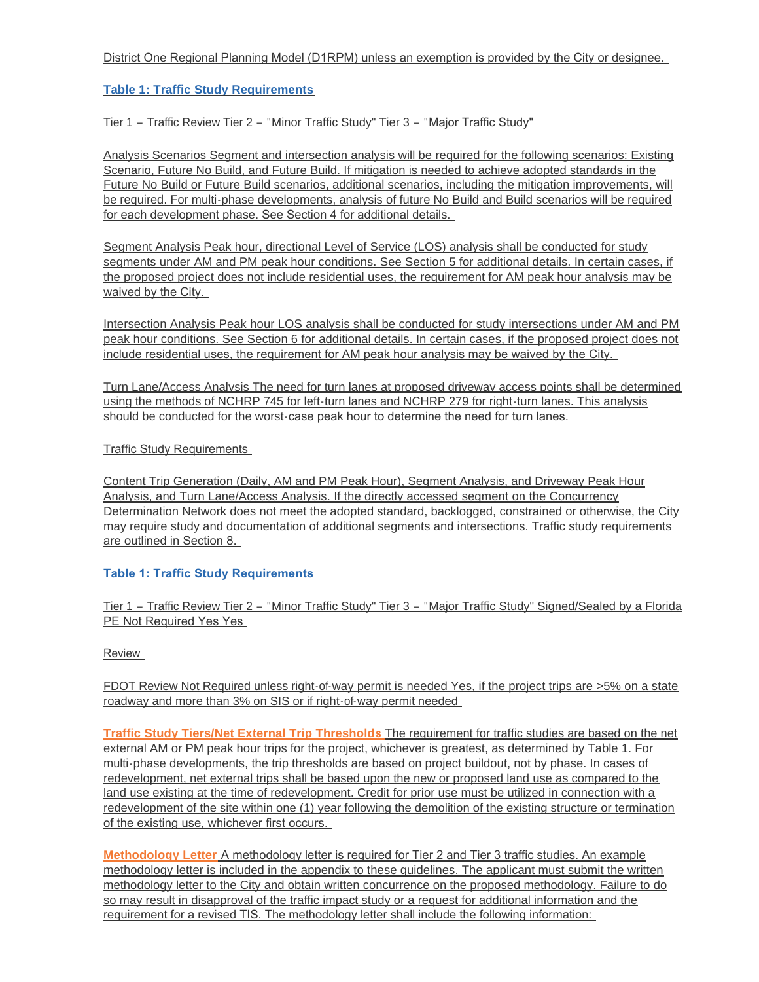# District One Regional Planning Model (D1RPM) unless an exemption is provided by the City or designee.

# **Table 1: Traffic Study Requirements**

Tier 1 – Traffic Review Tier 2 – "Minor Traffic Study" Tier 3 – "Major Traffic Study"

Analysis Scenarios Segment and intersection analysis will be required for the following scenarios: Existing Scenario, Future No Build, and Future Build. If mitigation is needed to achieve adopted standards in the Future No Build or Future Build scenarios, additional scenarios, including the mitigation improvements, will be required. For multi-phase developments, analysis of future No Build and Build scenarios will be required for each development phase. See Section 4 for additional details.

Segment Analysis Peak hour, directional Level of Service (LOS) analysis shall be conducted for study segments under AM and PM peak hour conditions. See Section 5 for additional details. In certain cases, if the proposed project does not include residential uses, the requirement for AM peak hour analysis may be waived by the City.

Intersection Analysis Peak hour LOS analysis shall be conducted for study intersections under AM and PM peak hour conditions. See Section 6 for additional details. In certain cases, if the proposed project does not include residential uses, the requirement for AM peak hour analysis may be waived by the City.

Turn Lane/Access Analysis The need for turn lanes at proposed driveway access points shall be determined using the methods of NCHRP 745 for left-turn lanes and NCHRP 279 for right-turn lanes. This analysis should be conducted for the worst-case peak hour to determine the need for turn lanes.

Traffic Study Requirements

Content Trip Generation (Daily, AM and PM Peak Hour), Segment Analysis, and Driveway Peak Hour Analysis, and Turn Lane/Access Analysis. If the directly accessed segment on the Concurrency Determination Network does not meet the adopted standard, backlogged, constrained or otherwise, the City may require study and documentation of additional segments and intersections. Traffic study requirements are outlined in Section 8.

# **Table 1: Traffic Study Requirements**

Tier 1 – Traffic Review Tier 2 – "Minor Traffic Study" Tier 3 – "Major Traffic Study" Signed/Sealed by a Florida PE Not Required Yes Yes

Review

FDOT Review Not Required unless right-of-way permit is needed Yes, if the project trips are >5% on a state roadway and more than 3% on SIS or if right-of-way permit needed

**Traffic Study Tiers/Net External Trip Thresholds** The requirement for traffic studies are based on the net external AM or PM peak hour trips for the project, whichever is greatest, as determined by Table 1. For multi-phase developments, the trip thresholds are based on project buildout, not by phase. In cases of redevelopment, net external trips shall be based upon the new or proposed land use as compared to the land use existing at the time of redevelopment. Credit for prior use must be utilized in connection with a redevelopment of the site within one (1) year following the demolition of the existing structure or termination of the existing use, whichever first occurs.

**Methodology Letter** A methodology letter is required for Tier 2 and Tier 3 traffic studies. An example methodology letter is included in the appendix to these guidelines. The applicant must submit the written methodology letter to the City and obtain written concurrence on the proposed methodology. Failure to do so may result in disapproval of the traffic impact study or a request for additional information and the requirement for a revised TIS. The methodology letter shall include the following information: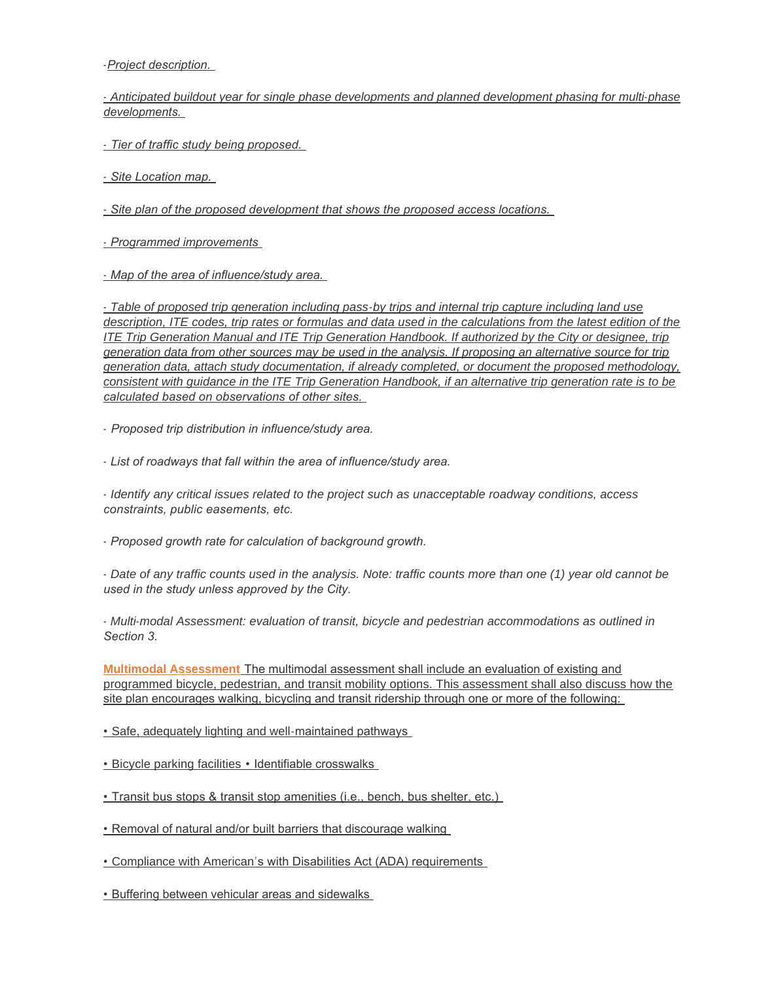-*Project description.* 

*- Anticipated buildout year for single phase developments and planned development phasing for multi-phase developments.* 

*- Tier of traffic study being proposed.* 

*- Site Location map.* 

*- Site plan of the proposed development that shows the proposed access locations.* 

*- Programmed improvements* 

*- Map of the area of influence/study area.* 

*- Table of proposed trip generation including pass-by trips and internal trip capture including land use description, ITE codes, trip rates or formulas and data used in the calculations from the latest edition of the ITE Trip Generation Manual and ITE Trip Generation Handbook. If authorized by the City or designee, trip generation data from other sources may be used in the analysis. If proposing an alternative source for trip generation data, attach study documentation, if already completed, or document the proposed methodology, consistent with guidance in the ITE Trip Generation Handbook, if an alternative trip generation rate is to be calculated based on observations of other sites.* 

- *Proposed trip distribution in influence/study area.* 

*- List of roadways that fall within the area of influence/study area.* 

*- Identify any critical issues related to the project such as unacceptable roadway conditions, access constraints, public easements, etc.* 

*- Proposed growth rate for calculation of background growth.* 

*- Date of any traffic counts used in the analysis. Note: traffic counts more than one (1) year old cannot be used in the study unless approved by the City.* 

*- Multi-modal Assessment: evaluation of transit, bicycle and pedestrian accommodations as outlined in Section 3.* 

**Multimodal Assessment** The multimodal assessment shall include an evaluation of existing and programmed bicycle, pedestrian, and transit mobility options. This assessment shall also discuss how the site plan encourages walking, bicycling and transit ridership through one or more of the following:

• Safe, adequately lighting and well-maintained pathways

• Bicycle parking facilities • Identifiable crosswalks

• Transit bus stops & transit stop amenities (i.e., bench, bus shelter, etc.)

• Removal of natural and/or built barriers that discourage walking

• Compliance with American's with Disabilities Act (ADA) requirements

• Buffering between vehicular areas and sidewalks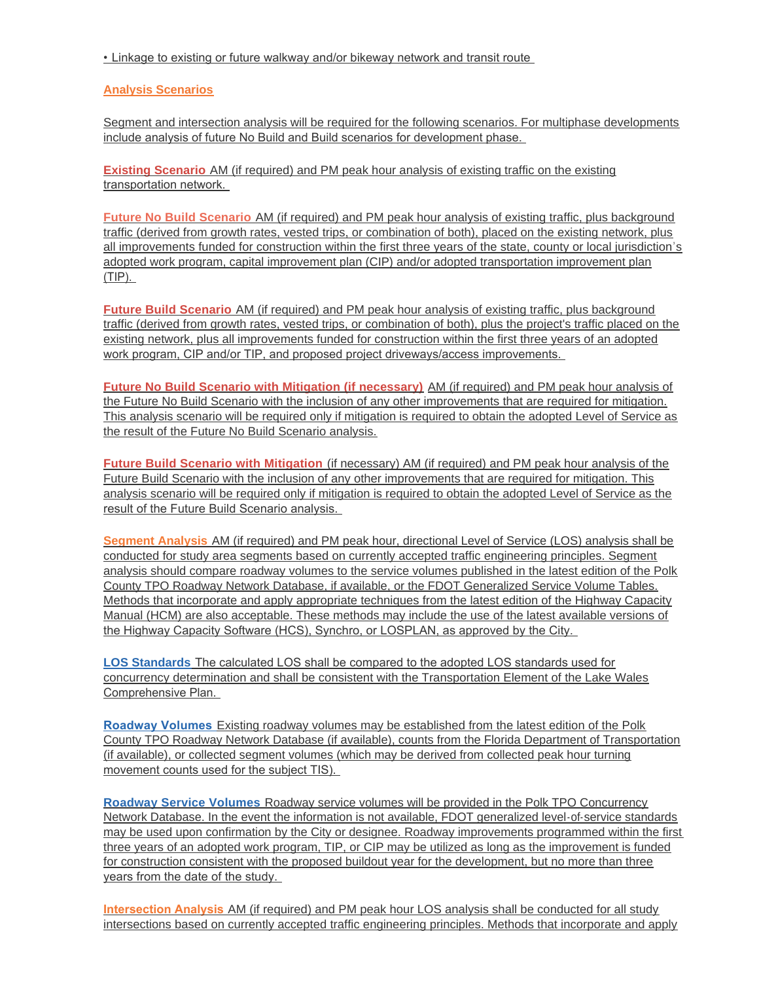• Linkage to existing or future walkway and/or bikeway network and transit route

# **Analysis Scenarios**

Segment and intersection analysis will be required for the following scenarios. For multiphase developments include analysis of future No Build and Build scenarios for development phase.

**Existing Scenario** AM (if required) and PM peak hour analysis of existing traffic on the existing transportation network.

**Future No Build Scenario** AM (if required) and PM peak hour analysis of existing traffic, plus background traffic (derived from growth rates, vested trips, or combination of both), placed on the existing network, plus all improvements funded for construction within the first three years of the state, county or local jurisdiction's adopted work program, capital improvement plan (CIP) and/or adopted transportation improvement plan (TIP).

**Future Build Scenario** AM (if required) and PM peak hour analysis of existing traffic, plus background traffic (derived from growth rates, vested trips, or combination of both), plus the project's traffic placed on the existing network, plus all improvements funded for construction within the first three years of an adopted work program, CIP and/or TIP, and proposed project driveways/access improvements.

**Future No Build Scenario with Mitigation (if necessary)** AM (if required) and PM peak hour analysis of the Future No Build Scenario with the inclusion of any other improvements that are required for mitigation. This analysis scenario will be required only if mitigation is required to obtain the adopted Level of Service as the result of the Future No Build Scenario analysis.

**Future Build Scenario with Mitigation** (if necessary) AM (if required) and PM peak hour analysis of the Future Build Scenario with the inclusion of any other improvements that are required for mitigation. This analysis scenario will be required only if mitigation is required to obtain the adopted Level of Service as the result of the Future Build Scenario analysis.

**Segment Analysis** AM (if required) and PM peak hour, directional Level of Service (LOS) analysis shall be conducted for study area segments based on currently accepted traffic engineering principles. Segment analysis should compare roadway volumes to the service volumes published in the latest edition of the Polk County TPO Roadway Network Database, if available, or the FDOT Generalized Service Volume Tables. Methods that incorporate and apply appropriate techniques from the latest edition of the Highway Capacity Manual (HCM) are also acceptable. These methods may include the use of the latest available versions of the Highway Capacity Software (HCS), Synchro, or LOSPLAN, as approved by the City.

**LOS Standards** The calculated LOS shall be compared to the adopted LOS standards used for concurrency determination and shall be consistent with the Transportation Element of the Lake Wales Comprehensive Plan.

**Roadway Volumes** Existing roadway volumes may be established from the latest edition of the Polk County TPO Roadway Network Database (if available), counts from the Florida Department of Transportation (if available), or collected segment volumes (which may be derived from collected peak hour turning movement counts used for the subject TIS).

**Roadway Service Volumes** Roadway service volumes will be provided in the Polk TPO Concurrency Network Database. In the event the information is not available, FDOT generalized level-of-service standards may be used upon confirmation by the City or designee. Roadway improvements programmed within the first three years of an adopted work program, TIP, or CIP may be utilized as long as the improvement is funded for construction consistent with the proposed buildout year for the development, but no more than three years from the date of the study.

**Intersection Analysis** AM (if required) and PM peak hour LOS analysis shall be conducted for all study intersections based on currently accepted traffic engineering principles. Methods that incorporate and apply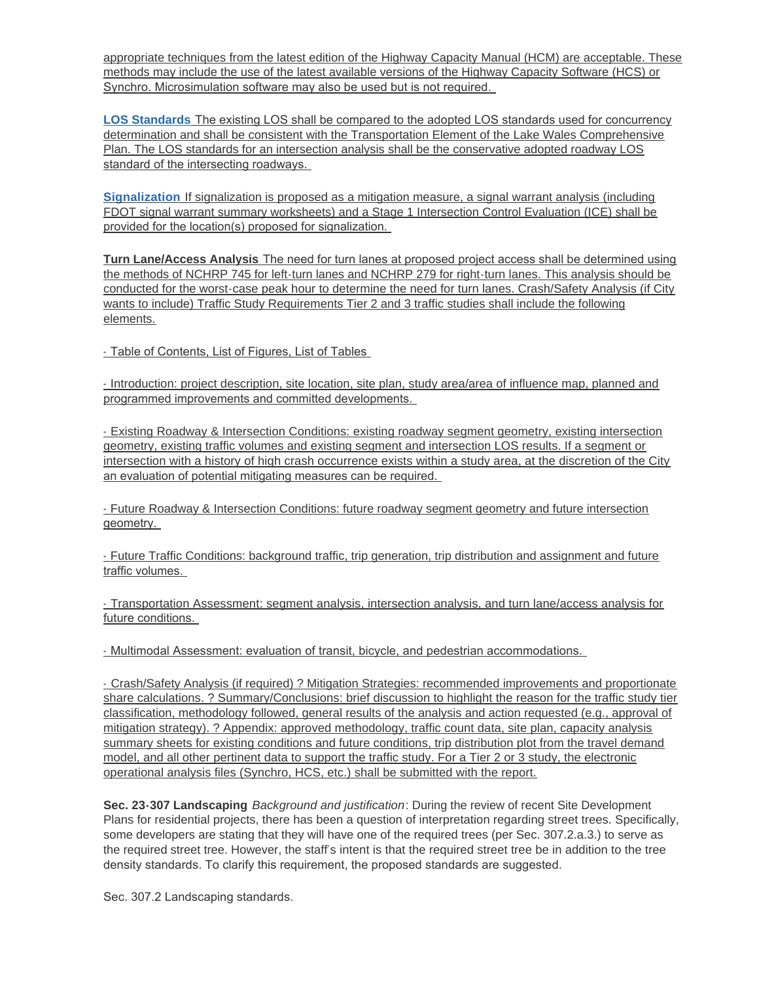appropriate techniques from the latest edition of the Highway Capacity Manual (HCM) are acceptable. These methods may include the use of the latest available versions of the Highway Capacity Software (HCS) or Synchro. Microsimulation software may also be used but is not required.

**LOS Standards** The existing LOS shall be compared to the adopted LOS standards used for concurrency determination and shall be consistent with the Transportation Element of the Lake Wales Comprehensive Plan. The LOS standards for an intersection analysis shall be the conservative adopted roadway LOS standard of the intersecting roadways.

**Signalization** If signalization is proposed as a mitigation measure, a signal warrant analysis (including FDOT signal warrant summary worksheets) and a Stage 1 Intersection Control Evaluation (ICE) shall be provided for the location(s) proposed for signalization.

**Turn Lane/Access Analysis** The need for turn lanes at proposed project access shall be determined using the methods of NCHRP 745 for left-turn lanes and NCHRP 279 for right-turn lanes. This analysis should be conducted for the worst-case peak hour to determine the need for turn lanes. Crash/Safety Analysis (if City wants to include) Traffic Study Requirements Tier 2 and 3 traffic studies shall include the following elements.

- Table of Contents, List of Figures, List of Tables

- Introduction: project description, site location, site plan, study area/area of influence map, planned and programmed improvements and committed developments.

- Existing Roadway & Intersection Conditions: existing roadway segment geometry, existing intersection geometry, existing traffic volumes and existing segment and intersection LOS results. If a segment or intersection with a history of high crash occurrence exists within a study area, at the discretion of the City an evaluation of potential mitigating measures can be required.

- Future Roadway & Intersection Conditions: future roadway segment geometry and future intersection geometry.

- Future Traffic Conditions: background traffic, trip generation, trip distribution and assignment and future traffic volumes.

- Transportation Assessment: segment analysis, intersection analysis, and turn lane/access analysis for future conditions.

- Multimodal Assessment: evaluation of transit, bicycle, and pedestrian accommodations.

- Crash/Safety Analysis (if required) ? Mitigation Strategies: recommended improvements and proportionate share calculations. ? Summary/Conclusions: brief discussion to highlight the reason for the traffic study tier classification, methodology followed, general results of the analysis and action requested (e.g., approval of mitigation strategy). ? Appendix: approved methodology, traffic count data, site plan, capacity analysis summary sheets for existing conditions and future conditions, trip distribution plot from the travel demand model, and all other pertinent data to support the traffic study. For a Tier 2 or 3 study, the electronic operational analysis files (Synchro, HCS, etc.) shall be submitted with the report.

**Sec. 23-307 Landscaping** *Background and justification*: During the review of recent Site Development Plans for residential projects, there has been a question of interpretation regarding street trees. Specifically, some developers are stating that they will have one of the required trees (per Sec. 307.2.a.3.) to serve as the required street tree. However, the staff's intent is that the required street tree be in addition to the tree density standards. To clarify this requirement, the proposed standards are suggested.

Sec. 307.2 Landscaping standards.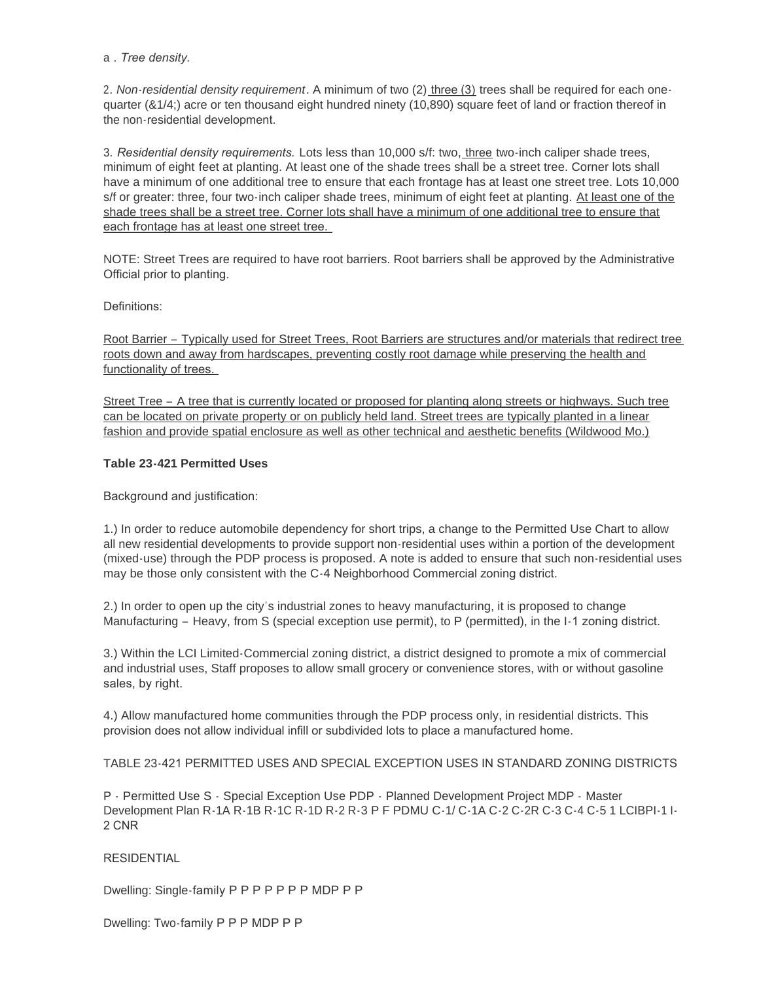### a *. Tree density.*

2*. Non-residential density requirement*. A minimum of two (2) three (3) trees shall be required for each onequarter (&1/4;) acre or ten thousand eight hundred ninety (10,890) square feet of land or fraction thereof in the non-residential development.

3. *Residential density requirements.* Lots less than 10,000 s/f: two, three two-inch caliper shade trees, minimum of eight feet at planting. At least one of the shade trees shall be a street tree. Corner lots shall have a minimum of one additional tree to ensure that each frontage has at least one street tree. Lots 10,000 s/f or greater: three, four two-inch caliper shade trees, minimum of eight feet at planting. At least one of the shade trees shall be a street tree. Corner lots shall have a minimum of one additional tree to ensure that each frontage has at least one street tree.

NOTE: Street Trees are required to have root barriers. Root barriers shall be approved by the Administrative Official prior to planting.

Definitions:

Root Barrier – Typically used for Street Trees, Root Barriers are structures and/or materials that redirect tree roots down and away from hardscapes, preventing costly root damage while preserving the health and functionality of trees.

Street Tree – A tree that is currently located or proposed for planting along streets or highways. Such tree can be located on private property or on publicly held land. Street trees are typically planted in a linear fashion and provide spatial enclosure as well as other technical and aesthetic benefits (Wildwood Mo.)

# **Table 23-421 Permitted Uses**

Background and justification:

1.) In order to reduce automobile dependency for short trips, a change to the Permitted Use Chart to allow all new residential developments to provide support non-residential uses within a portion of the development (mixed-use) through the PDP process is proposed. A note is added to ensure that such non-residential uses may be those only consistent with the C-4 Neighborhood Commercial zoning district.

2.) In order to open up the city's industrial zones to heavy manufacturing, it is proposed to change Manufacturing – Heavy, from S (special exception use permit), to P (permitted), in the I-1 zoning district.

3.) Within the LCI Limited-Commercial zoning district, a district designed to promote a mix of commercial and industrial uses, Staff proposes to allow small grocery or convenience stores, with or without gasoline sales, by right.

4.) Allow manufactured home communities through the PDP process only, in residential districts. This provision does not allow individual infill or subdivided lots to place a manufactured home.

TABLE 23-421 PERMITTED USES AND SPECIAL EXCEPTION USES IN STANDARD ZONING DISTRICTS

P - Permitted Use S - Special Exception Use PDP - Planned Development Project MDP - Master Development Plan R-1A R-1B R-1C R-1D R-2 R-3 P F PDMU C-1/ C-1A C-2 C-2R C-3 C-4 C-5 1 LCIBPI-1 I-2 CNR

**RESIDENTIAL** 

Dwelling: Single-family P P P P P P P MDP P P

Dwelling: Two-family P P P MDP P P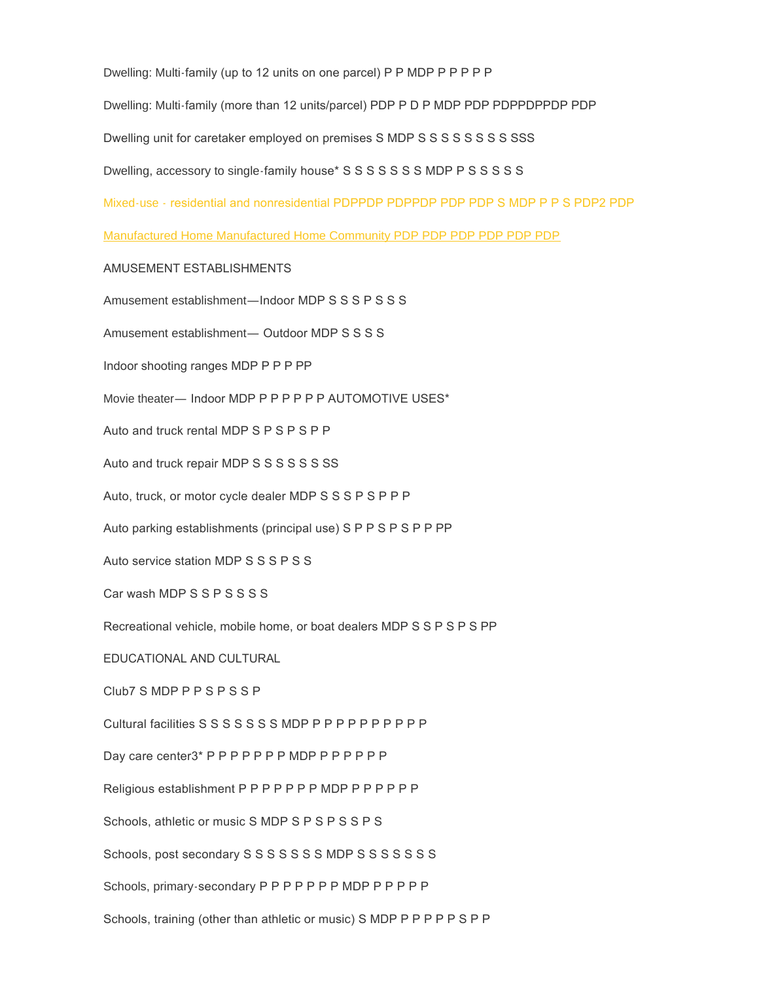Dwelling: Multi-family (up to 12 units on one parcel) P P MDP P P P P P

Dwelling: Multi-family (more than 12 units/parcel) PDP P D P MDP PDP PDPPDPPDP PDP

Dwelling unit for caretaker employed on premises S MDP S S S S S S S S S SSS

Dwelling, accessory to single-family house\* S S S S S S S MDP P S S S S S

Mixed-use - residential and nonresidential PDPPDP PDPPDP PDP PDP S MDP P P S PDP2 PDP

Manufactured Home Manufactured Home Community PDP PDP PDP PDP PDP PDP

#### AMUSEMENT ESTABLISHMENTS

Amusement establishment—Indoor MDP S S S P S S S

Amusement establishment— Outdoor MDP S S S S

Indoor shooting ranges MDP P P P PP

Movie theater— Indoor MDP P P P P P P AUTOMOTIVE USES\*

Auto and truck rental MDP S P S P S P P

Auto and truck repair MDP S S S S S S S S

Auto, truck, or motor cycle dealer MDP S S S P S P P P

Auto parking establishments (principal use) S P P S P S P P PP

Auto service station MDP S S S P S S

Car wash MDP S S P S S S S

Recreational vehicle, mobile home, or boat dealers MDP S S P S P S PP

EDUCATIONAL AND CULTURAL

Club7 S MDP P P S P S S P

Cultural facilities S S S S S S S MDP P P P P P P P P P P

Day care center3\* P P P P P P P MDP P P P P P P P

Religious establishment P P P P P P P MDP P P P P P P

Schools, athletic or music S MDP S P S P S S P S

Schools, post secondary S S S S S S S MDP S S S S S S S S

Schools, primary-secondary P P P P P P P MDP P P P P P

Schools, training (other than athletic or music) S MDP P P P P P S P P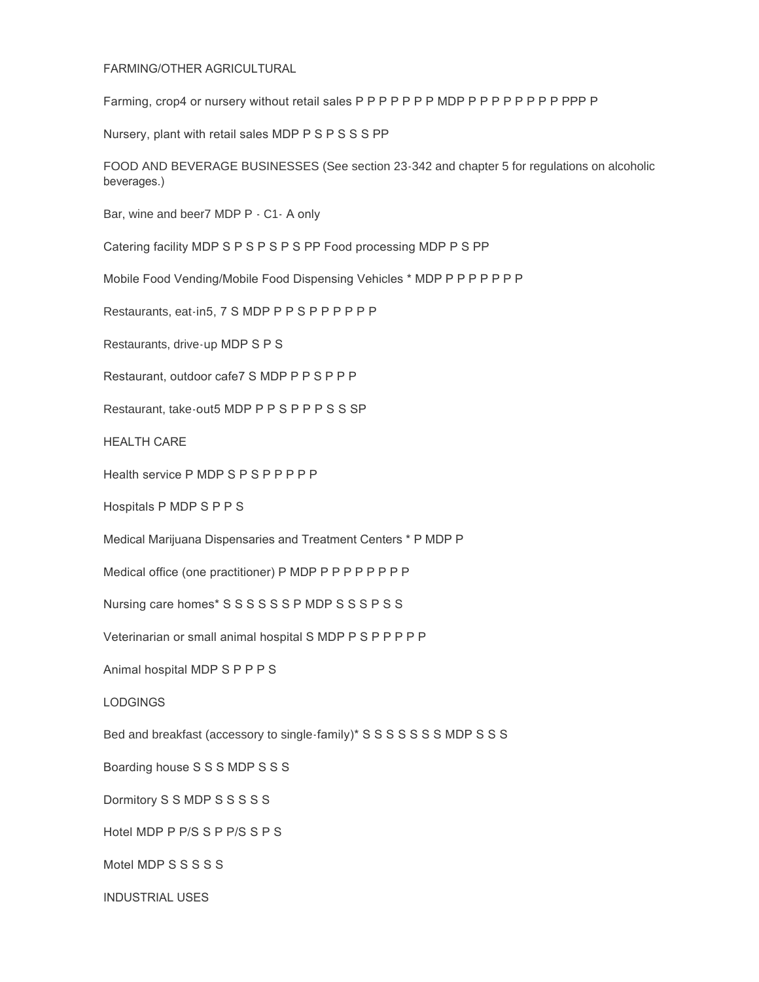#### FARMING/OTHER AGRICULTURAL

Farming, crop4 or nursery without retail sales P P P P P P P MDP P P P P P P P P PPP P

Nursery, plant with retail sales MDP P S P S S S PP

FOOD AND BEVERAGE BUSINESSES (See section 23-342 and chapter 5 for regulations on alcoholic beverages.)

Bar, wine and beer7 MDP P - C1- A only

Catering facility MDP S P S P S P S PP Food processing MDP P S PP

Mobile Food Vending/Mobile Food Dispensing Vehicles \* MDP P P P P P P P

Restaurants, eat-in5, 7 S MDP P P S P P P P P P

Restaurants, drive-up MDP S P S

Restaurant, outdoor cafe7 S MDP P P S P P P

Restaurant, take-out5 MDP P P S P P P S S SP

HEALTH CARE

Health service P MDP S P S P P P P P

Hospitals P MDP S P P S

Medical Marijuana Dispensaries and Treatment Centers \* P MDP P

Medical office (one practitioner) P MDP P P P P P P P P

Nursing care homes\* S S S S S S P MDP S S S P S S

Veterinarian or small animal hospital S MDP P S P P P P P

Animal hospital MDP S P P P S

LODGINGS

Bed and breakfast (accessory to single-family)\* S S S S S S S MDP S S S

Boarding house S S S MDP S S S

Dormitory S S MDP S S S S S

Hotel MDP P P/S S P P/S S P S

Motel MDP S S S S S

INDUSTRIAL USES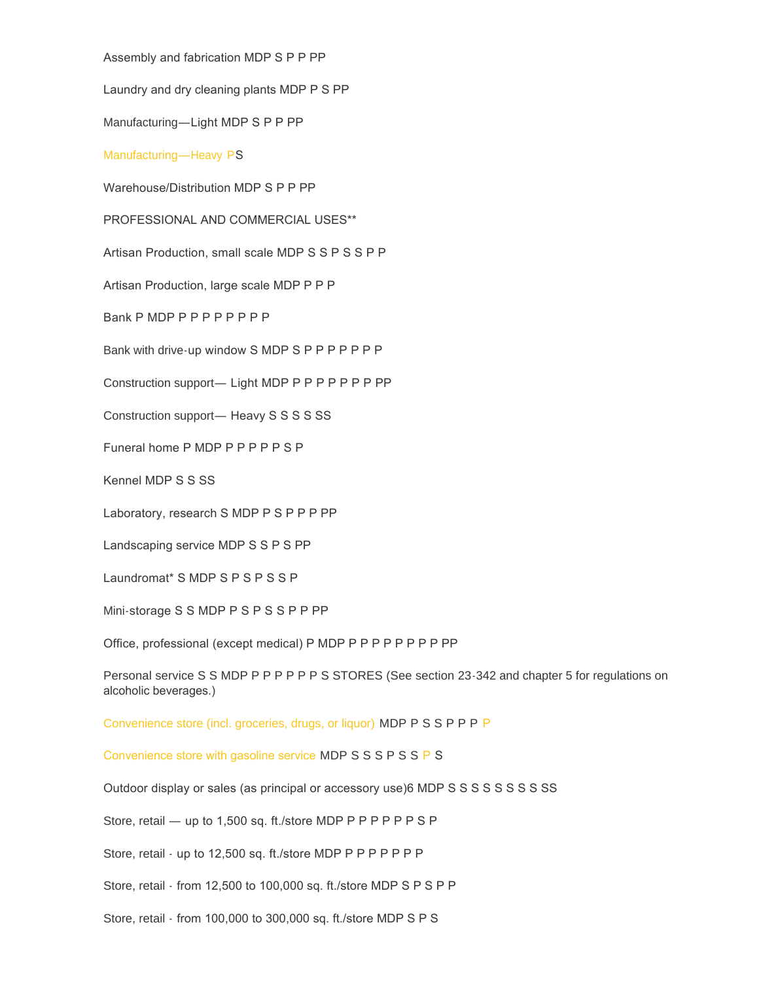Assembly and fabrication MDP S P P PP

Laundry and dry cleaning plants MDP P S PP

Manufacturing—Light MDP S P P PP

#### Manufacturing—Heavy PS

Warehouse/Distribution MDP S P P PP

PROFESSIONAL AND COMMERCIAL USES\*\*

Artisan Production, small scale MDP S S P S S P P

Artisan Production, large scale MDP P P P

Bank P MDP P P P P P P P P

Bank with drive-up window S MDP S P P P P P P P

Construction support— Light MDP P P P P P P P PP

Construction support— Heavy S S S S S S S

Funeral home P MDP P P P P P S P

Kennel MDP S S SS

Laboratory, research S MDP P S P P P PP

Landscaping service MDP S S P S PP

Laundromat\* S MDP S P S P S S P

Mini-storage S S MDP P S P S S P P PP

Office, professional (except medical) P MDP P P P P P P P P PP

Personal service S S MDP P P P P P P S STORES (See section 23-342 and chapter 5 for regulations on alcoholic beverages.)

Convenience store (incl. groceries, drugs, or liquor) MDP P S S P P P P

Convenience store with gasoline service MDP S S S P S S P S

Outdoor display or sales (as principal or accessory use)6 MDP S S S S S S S S S S S

Store, retail — up to 1,500 sq. ft./store MDP P P P P P P S P

Store, retail - up to 12,500 sq. ft./store MDP P P P P P P P

Store, retail - from 12,500 to 100,000 sq. ft./store MDP S P S P P

Store, retail - from 100,000 to 300,000 sq. ft./store MDP S P S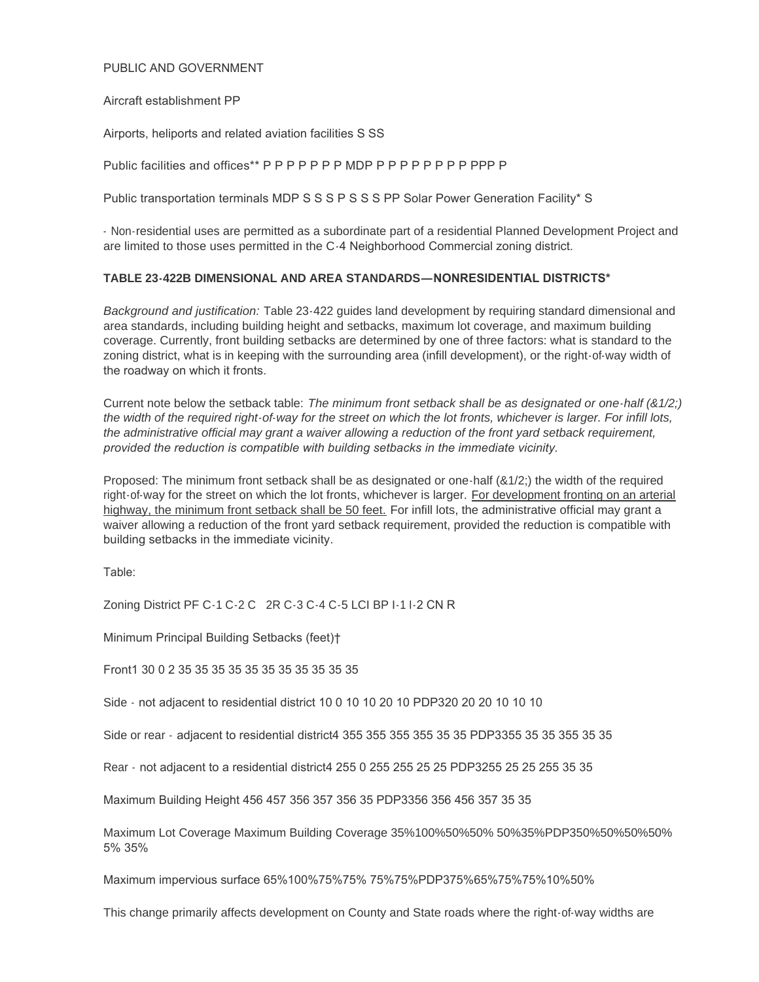### PUBLIC AND GOVERNMENT

#### Aircraft establishment PP

Airports, heliports and related aviation facilities S SS

Public facilities and offices\*\* P P P P P P P MDP P P P P P P P P PPP P

Public transportation terminals MDP S S S P S S S PP Solar Power Generation Facility\* S

- Non-residential uses are permitted as a subordinate part of a residential Planned Development Project and are limited to those uses permitted in the C-4 Neighborhood Commercial zoning district.

### **TABLE 23-422B DIMENSIONAL AND AREA STANDARDS—NONRESIDENTIAL DISTRICTS\***

*Background and justification:* Table 23-422 guides land development by requiring standard dimensional and area standards, including building height and setbacks, maximum lot coverage, and maximum building coverage. Currently, front building setbacks are determined by one of three factors: what is standard to the zoning district, what is in keeping with the surrounding area (infill development), or the right-of-way width of the roadway on which it fronts.

Current note below the setback table: *The minimum front setback shall be as designated or one-half (&1/2;) the width of the required right-of-way for the street on which the lot fronts, whichever is larger. For infill lots, the administrative official may grant a waiver allowing a reduction of the front yard setback requirement, provided the reduction is compatible with building setbacks in the immediate vicinity.* 

Proposed: The minimum front setback shall be as designated or one-half (&1/2;) the width of the required right-of-way for the street on which the lot fronts, whichever is larger. For development fronting on an arterial highway, the minimum front setback shall be 50 feet. For infill lots, the administrative official may grant a waiver allowing a reduction of the front yard setback requirement, provided the reduction is compatible with building setbacks in the immediate vicinity.

Table:

Zoning District PF C-1 C-2 C 2R C-3 C-4 C-5 LCI BP I-1 I-2 CN R

Minimum Principal Building Setbacks (feet)†

Front1 30 0 2 35 35 35 35 35 35 35 35 35 35 35

Side - not adjacent to residential district 10 0 10 10 20 10 PDP320 20 20 10 10 10

Side or rear - adjacent to residential district4 355 355 355 355 35 35 PDP3355 35 35 355 35 35

Rear - not adjacent to a residential district4 255 0 255 255 25 25 PDP3255 25 25 255 35 35

Maximum Building Height 456 457 356 357 356 35 PDP3356 356 456 357 35 35

Maximum Lot Coverage Maximum Building Coverage 35%100%50%50% 50%35%PDP350%50%50%50% 5% 35%

Maximum impervious surface 65%100%75%75% 75%75%PDP375%65%75%75%10%50%

This change primarily affects development on County and State roads where the right-of-way widths are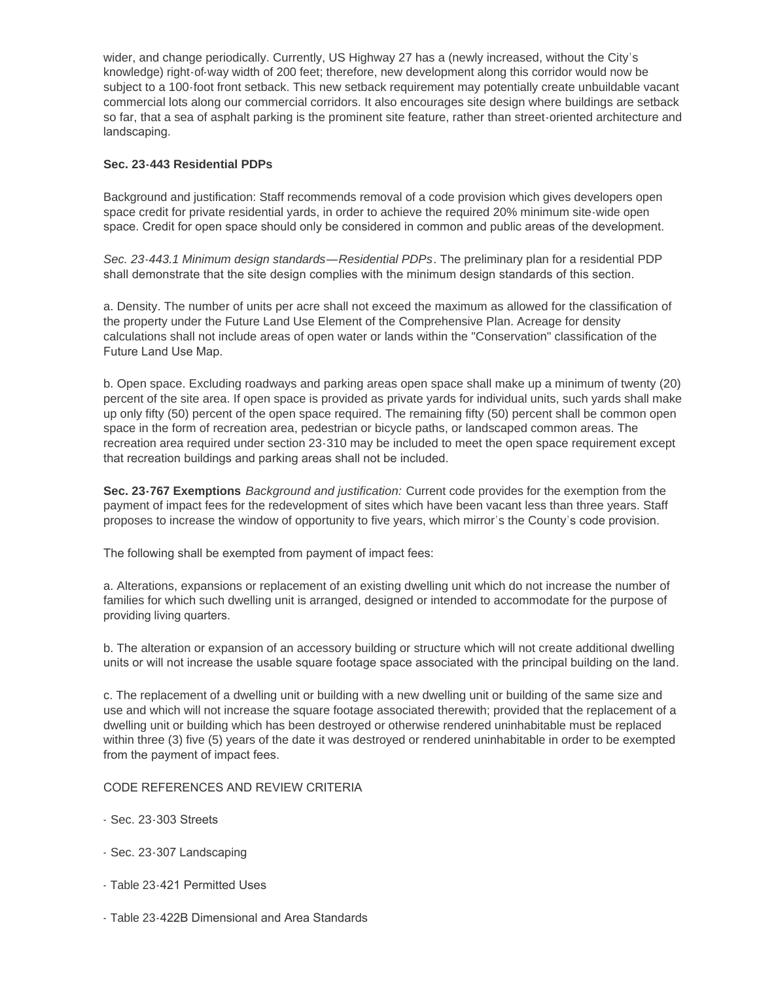wider, and change periodically. Currently, US Highway 27 has a (newly increased, without the City's knowledge) right-of-way width of 200 feet; therefore, new development along this corridor would now be subject to a 100-foot front setback. This new setback requirement may potentially create unbuildable vacant commercial lots along our commercial corridors. It also encourages site design where buildings are setback so far, that a sea of asphalt parking is the prominent site feature, rather than street-oriented architecture and landscaping.

# **Sec. 23-443 Residential PDPs**

Background and justification: Staff recommends removal of a code provision which gives developers open space credit for private residential yards, in order to achieve the required 20% minimum site-wide open space. Credit for open space should only be considered in common and public areas of the development.

*Sec. 23-443.1 Minimum design standards—Residential PDPs*. The preliminary plan for a residential PDP shall demonstrate that the site design complies with the minimum design standards of this section.

a. Density. The number of units per acre shall not exceed the maximum as allowed for the classification of the property under the Future Land Use Element of the Comprehensive Plan. Acreage for density calculations shall not include areas of open water or lands within the "Conservation" classification of the Future Land Use Map.

b. Open space. Excluding roadways and parking areas open space shall make up a minimum of twenty (20) percent of the site area. If open space is provided as private yards for individual units, such yards shall make up only fifty (50) percent of the open space required. The remaining fifty (50) percent shall be common open space in the form of recreation area, pedestrian or bicycle paths, or landscaped common areas. The recreation area required under section 23-310 may be included to meet the open space requirement except that recreation buildings and parking areas shall not be included.

**Sec. 23-767 Exemptions** *Background and justification:* Current code provides for the exemption from the payment of impact fees for the redevelopment of sites which have been vacant less than three years. Staff proposes to increase the window of opportunity to five years, which mirror's the County's code provision.

The following shall be exempted from payment of impact fees:

a. Alterations, expansions or replacement of an existing dwelling unit which do not increase the number of families for which such dwelling unit is arranged, designed or intended to accommodate for the purpose of providing living quarters.

b. The alteration or expansion of an accessory building or structure which will not create additional dwelling units or will not increase the usable square footage space associated with the principal building on the land.

c. The replacement of a dwelling unit or building with a new dwelling unit or building of the same size and use and which will not increase the square footage associated therewith; provided that the replacement of a dwelling unit or building which has been destroyed or otherwise rendered uninhabitable must be replaced within three (3) five (5) years of the date it was destroyed or rendered uninhabitable in order to be exempted from the payment of impact fees.

# CODE REFERENCES AND REVIEW CRITERIA

- Sec. 23-303 Streets
- Sec. 23-307 Landscaping
- Table 23-421 Permitted Uses
- Table 23-422B Dimensional and Area Standards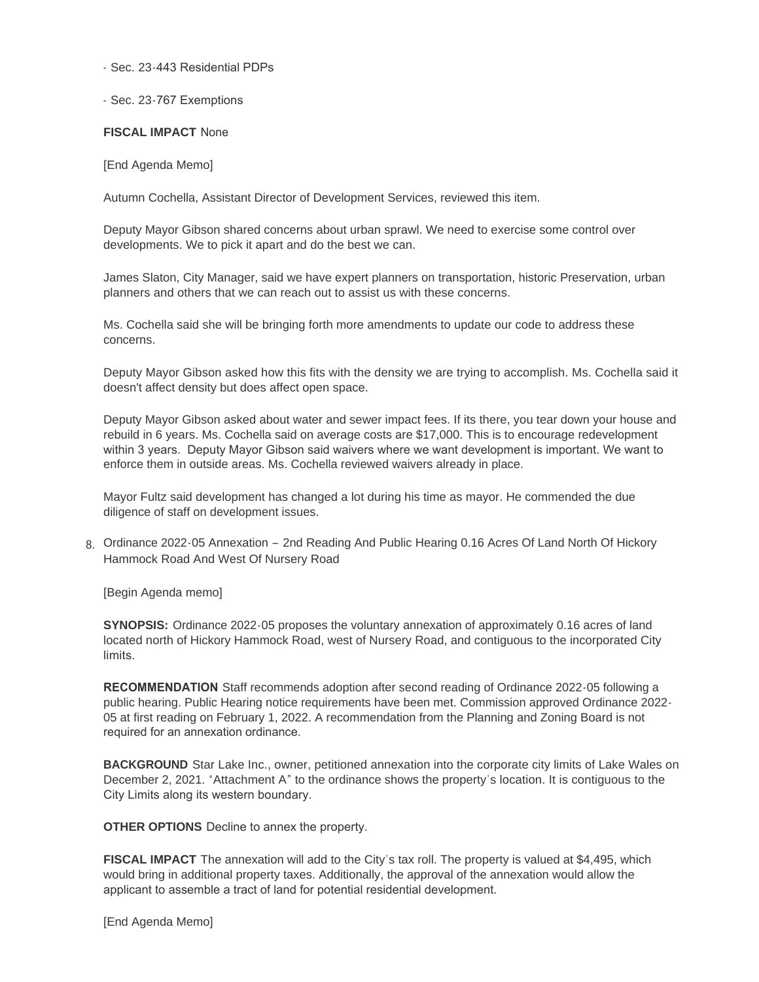#### - Sec. 23-443 Residential PDPs

### - Sec. 23-767 Exemptions

#### **FISCAL IMPACT** None

[End Agenda Memo]

Autumn Cochella, Assistant Director of Development Services, reviewed this item.

Deputy Mayor Gibson shared concerns about urban sprawl. We need to exercise some control over developments. We to pick it apart and do the best we can.

James Slaton, City Manager, said we have expert planners on transportation, historic Preservation, urban planners and others that we can reach out to assist us with these concerns.

Ms. Cochella said she will be bringing forth more amendments to update our code to address these concerns.

Deputy Mayor Gibson asked how this fits with the density we are trying to accomplish. Ms. Cochella said it doesn't affect density but does affect open space.

Deputy Mayor Gibson asked about water and sewer impact fees. If its there, you tear down your house and rebuild in 6 years. Ms. Cochella said on average costs are \$17,000. This is to encourage redevelopment within 3 years. Deputy Mayor Gibson said waivers where we want development is important. We want to enforce them in outside areas. Ms. Cochella reviewed waivers already in place.

Mayor Fultz said development has changed a lot during his time as mayor. He commended the due diligence of staff on development issues.

8. Ordinance 2022-05 Annexation - 2nd Reading And Public Hearing 0.16 Acres Of Land North Of Hickory Hammock Road And West Of Nursery Road

[Begin Agenda memo]

**SYNOPSIS:** Ordinance 2022-05 proposes the voluntary annexation of approximately 0.16 acres of land located north of Hickory Hammock Road, west of Nursery Road, and contiguous to the incorporated City limits.

**RECOMMENDATION** Staff recommends adoption after second reading of Ordinance 2022-05 following a public hearing. Public Hearing notice requirements have been met. Commission approved Ordinance 2022- 05 at first reading on February 1, 2022. A recommendation from the Planning and Zoning Board is not required for an annexation ordinance.

**BACKGROUND** Star Lake Inc., owner, petitioned annexation into the corporate city limits of Lake Wales on December 2, 2021. "Attachment A" to the ordinance shows the property's location. It is contiguous to the City Limits along its western boundary.

**OTHER OPTIONS** Decline to annex the property.

**FISCAL IMPACT** The annexation will add to the City's tax roll. The property is valued at \$4,495, which would bring in additional property taxes. Additionally, the approval of the annexation would allow the applicant to assemble a tract of land for potential residential development.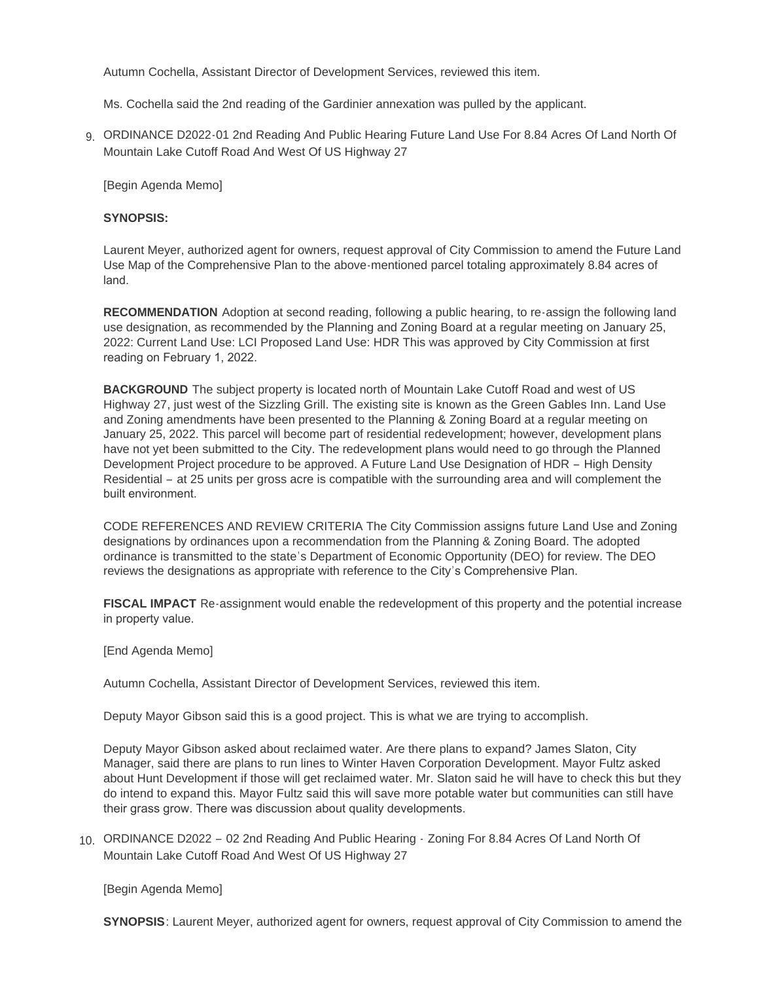Autumn Cochella, Assistant Director of Development Services, reviewed this item.

Ms. Cochella said the 2nd reading of the Gardinier annexation was pulled by the applicant.

g. ORDINANCE D2022-01 2nd Reading And Public Hearing Future Land Use For 8.84 Acres Of Land North Of Mountain Lake Cutoff Road And West Of US Highway 27

[Begin Agenda Memo]

## **SYNOPSIS:**

Laurent Meyer, authorized agent for owners, request approval of City Commission to amend the Future Land Use Map of the Comprehensive Plan to the above-mentioned parcel totaling approximately 8.84 acres of land.

**RECOMMENDATION** Adoption at second reading, following a public hearing, to re-assign the following land use designation, as recommended by the Planning and Zoning Board at a regular meeting on January 25, 2022: Current Land Use: LCI Proposed Land Use: HDR This was approved by City Commission at first reading on February 1, 2022.

**BACKGROUND** The subject property is located north of Mountain Lake Cutoff Road and west of US Highway 27, just west of the Sizzling Grill. The existing site is known as the Green Gables Inn. Land Use and Zoning amendments have been presented to the Planning & Zoning Board at a regular meeting on January 25, 2022. This parcel will become part of residential redevelopment; however, development plans have not yet been submitted to the City. The redevelopment plans would need to go through the Planned Development Project procedure to be approved. A Future Land Use Designation of HDR – High Density Residential – at 25 units per gross acre is compatible with the surrounding area and will complement the built environment.

CODE REFERENCES AND REVIEW CRITERIA The City Commission assigns future Land Use and Zoning designations by ordinances upon a recommendation from the Planning & Zoning Board. The adopted ordinance is transmitted to the state's Department of Economic Opportunity (DEO) for review. The DEO reviews the designations as appropriate with reference to the City's Comprehensive Plan.

**FISCAL IMPACT** Re-assignment would enable the redevelopment of this property and the potential increase in property value.

[End Agenda Memo]

Autumn Cochella, Assistant Director of Development Services, reviewed this item.

Deputy Mayor Gibson said this is a good project. This is what we are trying to accomplish.

Deputy Mayor Gibson asked about reclaimed water. Are there plans to expand? James Slaton, City Manager, said there are plans to run lines to Winter Haven Corporation Development. Mayor Fultz asked about Hunt Development if those will get reclaimed water. Mr. Slaton said he will have to check this but they do intend to expand this. Mayor Fultz said this will save more potable water but communities can still have their grass grow. There was discussion about quality developments.

10. ORDINANCE D2022 - 02 2nd Reading And Public Hearing - Zoning For 8.84 Acres Of Land North Of Mountain Lake Cutoff Road And West Of US Highway 27

[Begin Agenda Memo]

**SYNOPSIS**: Laurent Meyer, authorized agent for owners, request approval of City Commission to amend the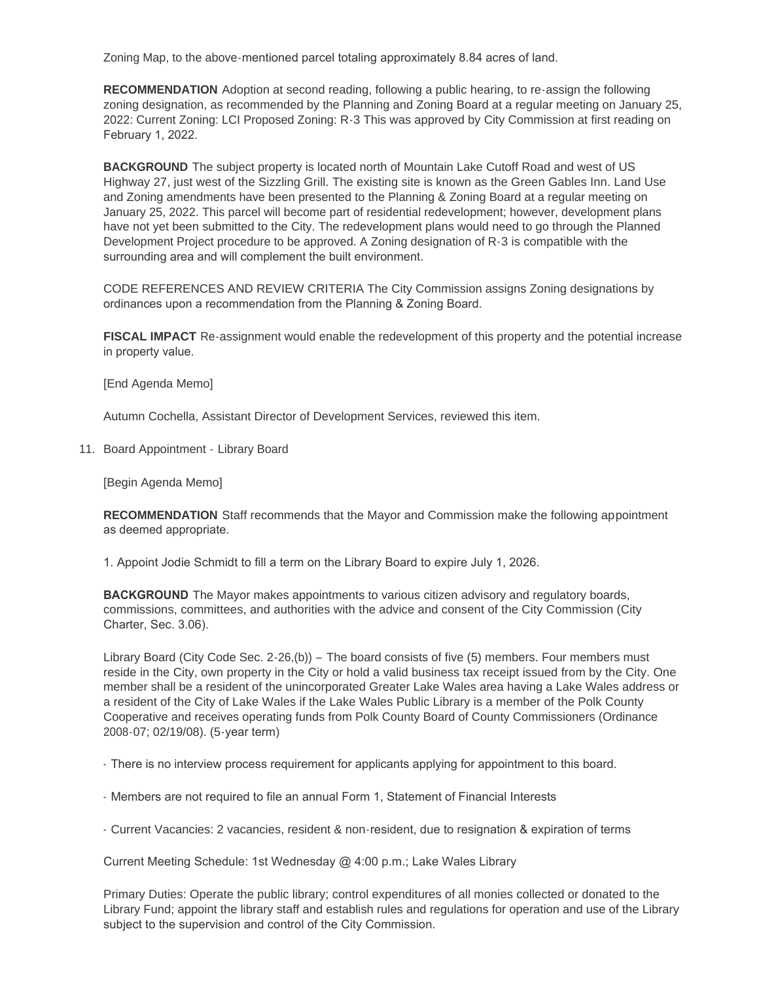Zoning Map, to the above-mentioned parcel totaling approximately 8.84 acres of land.

**RECOMMENDATION** Adoption at second reading, following a public hearing, to re-assign the following zoning designation, as recommended by the Planning and Zoning Board at a regular meeting on January 25, 2022: Current Zoning: LCI Proposed Zoning: R-3 This was approved by City Commission at first reading on February 1, 2022.

**BACKGROUND** The subject property is located north of Mountain Lake Cutoff Road and west of US Highway 27, just west of the Sizzling Grill. The existing site is known as the Green Gables Inn. Land Use and Zoning amendments have been presented to the Planning & Zoning Board at a regular meeting on January 25, 2022. This parcel will become part of residential redevelopment; however, development plans have not yet been submitted to the City. The redevelopment plans would need to go through the Planned Development Project procedure to be approved. A Zoning designation of R-3 is compatible with the surrounding area and will complement the built environment.

CODE REFERENCES AND REVIEW CRITERIA The City Commission assigns Zoning designations by ordinances upon a recommendation from the Planning & Zoning Board.

**FISCAL IMPACT** Re-assignment would enable the redevelopment of this property and the potential increase in property value.

[End Agenda Memo]

Autumn Cochella, Assistant Director of Development Services, reviewed this item.

11. Board Appointment - Library Board

[Begin Agenda Memo]

**RECOMMENDATION** Staff recommends that the Mayor and Commission make the following appointment as deemed appropriate.

1. Appoint Jodie Schmidt to fill a term on the Library Board to expire July 1, 2026.

**BACKGROUND** The Mayor makes appointments to various citizen advisory and regulatory boards, commissions, committees, and authorities with the advice and consent of the City Commission (City Charter, Sec. 3.06).

Library Board (City Code Sec. 2-26,(b)) – The board consists of five (5) members. Four members must reside in the City, own property in the City or hold a valid business tax receipt issued from by the City. One member shall be a resident of the unincorporated Greater Lake Wales area having a Lake Wales address or a resident of the City of Lake Wales if the Lake Wales Public Library is a member of the Polk County Cooperative and receives operating funds from Polk County Board of County Commissioners (Ordinance 2008-07; 02/19/08). (5-year term)

- There is no interview process requirement for applicants applying for appointment to this board.

- Members are not required to file an annual Form 1, Statement of Financial Interests
- Current Vacancies: 2 vacancies, resident & non-resident, due to resignation & expiration of terms

Current Meeting Schedule: 1st Wednesday @ 4:00 p.m.; Lake Wales Library

Primary Duties: Operate the public library; control expenditures of all monies collected or donated to the Library Fund; appoint the library staff and establish rules and regulations for operation and use of the Library subject to the supervision and control of the City Commission.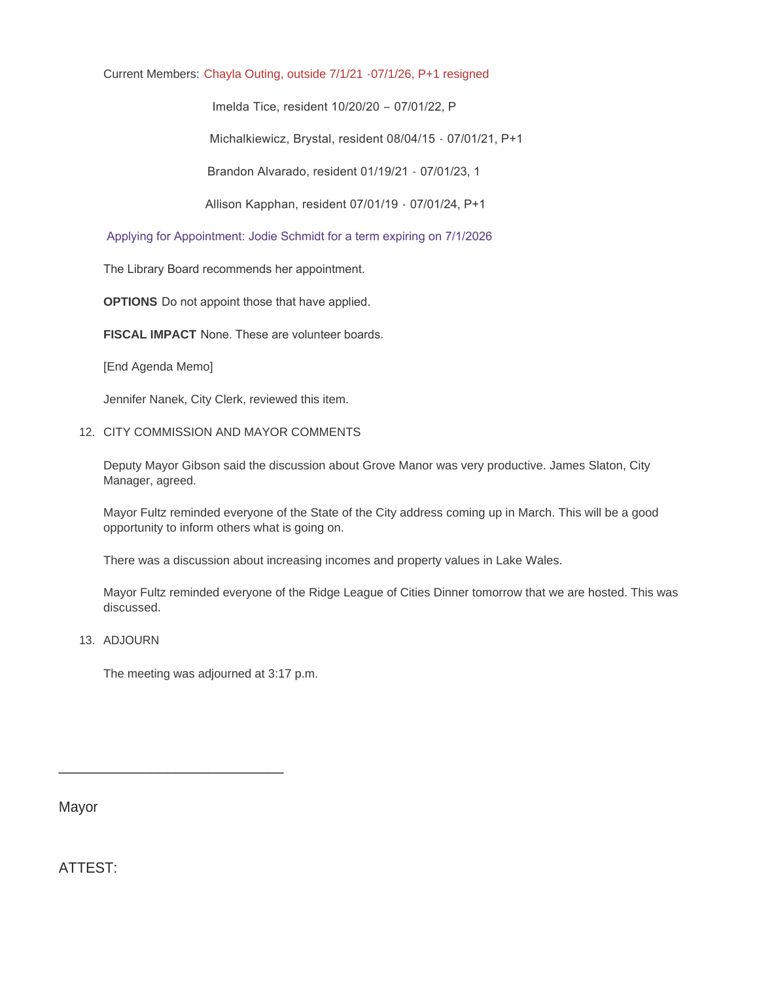# Current Members: Chayla Outing, outside 7/1/21 -07/1/26, P+1 resigned

Imelda Tice, resident 10/20/20 – 07/01/22, P

Michalkiewicz, Brystal, resident 08/04/15 - 07/01/21, P+1

Brandon Alvarado, resident 01/19/21 - 07/01/23, 1

Allison Kapphan, resident 07/01/19 - 07/01/24, P+1

## Applying for Appointment: Jodie Schmidt for a term expiring on 7/1/2026

The Library Board recommends her appointment.

**OPTIONS** Do not appoint those that have applied.

**FISCAL IMPACT** None. These are volunteer boards.

[End Agenda Memo]

Jennifer Nanek, City Clerk, reviewed this item.

12. CITY COMMISSION AND MAYOR COMMENTS

Deputy Mayor Gibson said the discussion about Grove Manor was very productive. James Slaton, City Manager, agreed.

Mayor Fultz reminded everyone of the State of the City address coming up in March. This will be a good opportunity to inform others what is going on.

There was a discussion about increasing incomes and property values in Lake Wales.

Mayor Fultz reminded everyone of the Ridge League of Cities Dinner tomorrow that we are hosted. This was discussed.

13. ADJOURN

The meeting was adjourned at 3:17 p.m.

\_\_\_\_\_\_\_\_\_\_\_\_\_\_\_\_\_\_\_\_\_\_\_\_\_\_\_

Mayor

ATTEST: